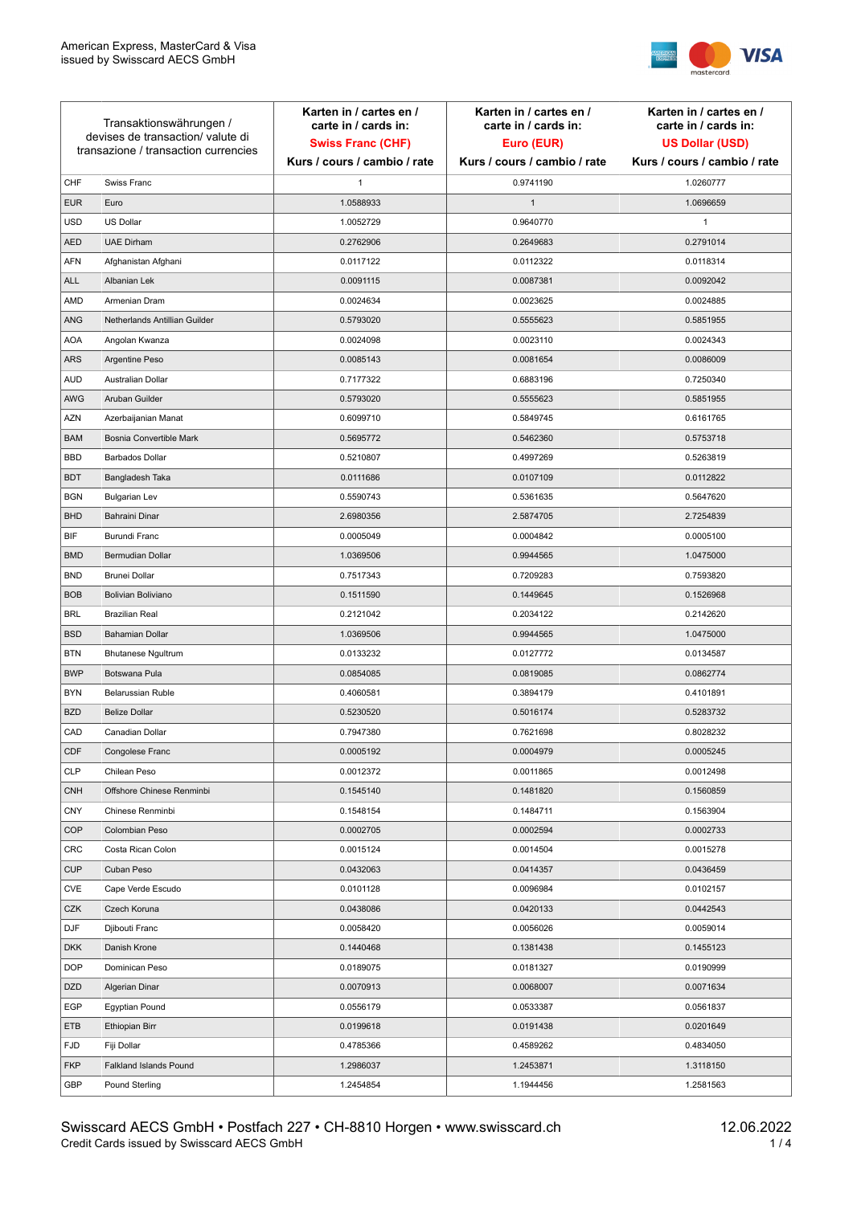

| Transaktionswährungen /<br>devises de transaction/valute di<br>transazione / transaction currencies |                               | Karten in / cartes en /<br>carte in / cards in:<br><b>Swiss Franc (CHF)</b> | Karten in / cartes en /<br>carte in / cards in:<br>Euro (EUR) | Karten in / cartes en /<br>carte in / cards in:<br><b>US Dollar (USD)</b> |
|-----------------------------------------------------------------------------------------------------|-------------------------------|-----------------------------------------------------------------------------|---------------------------------------------------------------|---------------------------------------------------------------------------|
|                                                                                                     |                               | Kurs / cours / cambio / rate                                                | Kurs / cours / cambio / rate                                  | Kurs / cours / cambio / rate                                              |
| CHF                                                                                                 | Swiss Franc                   | 1                                                                           | 0.9741190                                                     | 1.0260777                                                                 |
| <b>EUR</b>                                                                                          | Euro                          | 1.0588933                                                                   | $\mathbf{1}$                                                  | 1.0696659                                                                 |
| <b>USD</b>                                                                                          | <b>US Dollar</b>              | 1.0052729                                                                   | 0.9640770                                                     | $\mathbf{1}$                                                              |
| <b>AED</b>                                                                                          | <b>UAE Dirham</b>             | 0.2762906                                                                   | 0.2649683                                                     | 0.2791014                                                                 |
| AFN                                                                                                 | Afghanistan Afghani           | 0.0117122                                                                   | 0.0112322                                                     | 0.0118314                                                                 |
| <b>ALL</b>                                                                                          | Albanian Lek                  | 0.0091115                                                                   | 0.0087381                                                     | 0.0092042                                                                 |
| AMD                                                                                                 | Armenian Dram                 | 0.0024634                                                                   | 0.0023625                                                     | 0.0024885                                                                 |
| <b>ANG</b>                                                                                          | Netherlands Antillian Guilder | 0.5793020                                                                   | 0.5555623                                                     | 0.5851955                                                                 |
| <b>AOA</b>                                                                                          | Angolan Kwanza                | 0.0024098                                                                   | 0.0023110                                                     | 0.0024343                                                                 |
| <b>ARS</b>                                                                                          | Argentine Peso                | 0.0085143                                                                   | 0.0081654                                                     | 0.0086009                                                                 |
| <b>AUD</b>                                                                                          | Australian Dollar             | 0.7177322                                                                   | 0.6883196                                                     | 0.7250340                                                                 |
| AWG                                                                                                 | Aruban Guilder                | 0.5793020                                                                   | 0.5555623                                                     | 0.5851955                                                                 |
| <b>AZN</b>                                                                                          | Azerbaijanian Manat           | 0.6099710                                                                   | 0.5849745                                                     | 0.6161765                                                                 |
| <b>BAM</b>                                                                                          | Bosnia Convertible Mark       | 0.5695772                                                                   | 0.5462360                                                     | 0.5753718                                                                 |
| <b>BBD</b>                                                                                          | <b>Barbados Dollar</b>        | 0.5210807                                                                   | 0.4997269                                                     | 0.5263819                                                                 |
| <b>BDT</b>                                                                                          | Bangladesh Taka               | 0.0111686                                                                   | 0.0107109                                                     | 0.0112822                                                                 |
| <b>BGN</b>                                                                                          | <b>Bulgarian Lev</b>          | 0.5590743                                                                   | 0.5361635                                                     | 0.5647620                                                                 |
| <b>BHD</b>                                                                                          | Bahraini Dinar                | 2.6980356                                                                   | 2.5874705                                                     | 2.7254839                                                                 |
| BIF                                                                                                 | Burundi Franc                 | 0.0005049                                                                   | 0.0004842                                                     | 0.0005100                                                                 |
| <b>BMD</b>                                                                                          | Bermudian Dollar              | 1.0369506                                                                   | 0.9944565                                                     | 1.0475000                                                                 |
| <b>BND</b>                                                                                          | <b>Brunei Dollar</b>          | 0.7517343                                                                   | 0.7209283                                                     | 0.7593820                                                                 |
| <b>BOB</b>                                                                                          | Bolivian Boliviano            | 0.1511590                                                                   | 0.1449645                                                     | 0.1526968                                                                 |
| <b>BRL</b>                                                                                          | <b>Brazilian Real</b>         | 0.2121042                                                                   | 0.2034122                                                     | 0.2142620                                                                 |
| <b>BSD</b>                                                                                          | <b>Bahamian Dollar</b>        | 1.0369506                                                                   | 0.9944565                                                     | 1.0475000                                                                 |
| <b>BTN</b>                                                                                          | <b>Bhutanese Ngultrum</b>     | 0.0133232                                                                   | 0.0127772                                                     | 0.0134587                                                                 |
| <b>BWP</b>                                                                                          | Botswana Pula                 | 0.0854085                                                                   | 0.0819085                                                     | 0.0862774                                                                 |
| <b>BYN</b>                                                                                          | Belarussian Ruble             | 0.4060581                                                                   | 0.3894179                                                     | 0.4101891                                                                 |
| <b>BZD</b>                                                                                          | <b>Belize Dollar</b>          | 0.5230520                                                                   | 0.5016174                                                     | 0.5283732                                                                 |
| CAD                                                                                                 | Canadian Dollar               | 0.7947380                                                                   | 0.7621698                                                     | 0.8028232                                                                 |
| CDF                                                                                                 | Congolese Franc               | 0.0005192                                                                   | 0.0004979                                                     | 0.0005245                                                                 |
| <b>CLP</b>                                                                                          | Chilean Peso                  | 0.0012372                                                                   | 0.0011865                                                     | 0.0012498                                                                 |
| <b>CNH</b>                                                                                          | Offshore Chinese Renminbi     | 0.1545140                                                                   | 0.1481820                                                     | 0.1560859                                                                 |
| <b>CNY</b>                                                                                          | Chinese Renminbi              | 0.1548154                                                                   | 0.1484711                                                     | 0.1563904                                                                 |
| <b>COP</b>                                                                                          | Colombian Peso                | 0.0002705                                                                   | 0.0002594                                                     | 0.0002733                                                                 |
| <b>CRC</b>                                                                                          | Costa Rican Colon             | 0.0015124                                                                   | 0.0014504                                                     | 0.0015278                                                                 |
| <b>CUP</b>                                                                                          | Cuban Peso                    | 0.0432063                                                                   | 0.0414357                                                     | 0.0436459                                                                 |
| CVE                                                                                                 | Cape Verde Escudo             | 0.0101128                                                                   | 0.0096984                                                     | 0.0102157                                                                 |
| CZK                                                                                                 | Czech Koruna                  | 0.0438086                                                                   | 0.0420133                                                     | 0.0442543                                                                 |
| <b>DJF</b>                                                                                          | Djibouti Franc                | 0.0058420                                                                   | 0.0056026                                                     | 0.0059014                                                                 |
| <b>DKK</b>                                                                                          | Danish Krone                  | 0.1440468                                                                   | 0.1381438                                                     | 0.1455123                                                                 |
| <b>DOP</b>                                                                                          | Dominican Peso                | 0.0189075                                                                   | 0.0181327                                                     | 0.0190999                                                                 |
| <b>DZD</b>                                                                                          | Algerian Dinar                | 0.0070913                                                                   | 0.0068007                                                     | 0.0071634                                                                 |
| EGP                                                                                                 | <b>Egyptian Pound</b>         | 0.0556179                                                                   | 0.0533387                                                     | 0.0561837                                                                 |
| ETB                                                                                                 | Ethiopian Birr                | 0.0199618                                                                   | 0.0191438                                                     | 0.0201649                                                                 |
| <b>FJD</b>                                                                                          | Fiji Dollar                   | 0.4785366                                                                   | 0.4589262                                                     | 0.4834050                                                                 |
| <b>FKP</b>                                                                                          | Falkland Islands Pound        | 1.2986037                                                                   | 1.2453871                                                     | 1.3118150                                                                 |
| GBP                                                                                                 | Pound Sterling                | 1.2454854                                                                   | 1.1944456                                                     | 1.2581563                                                                 |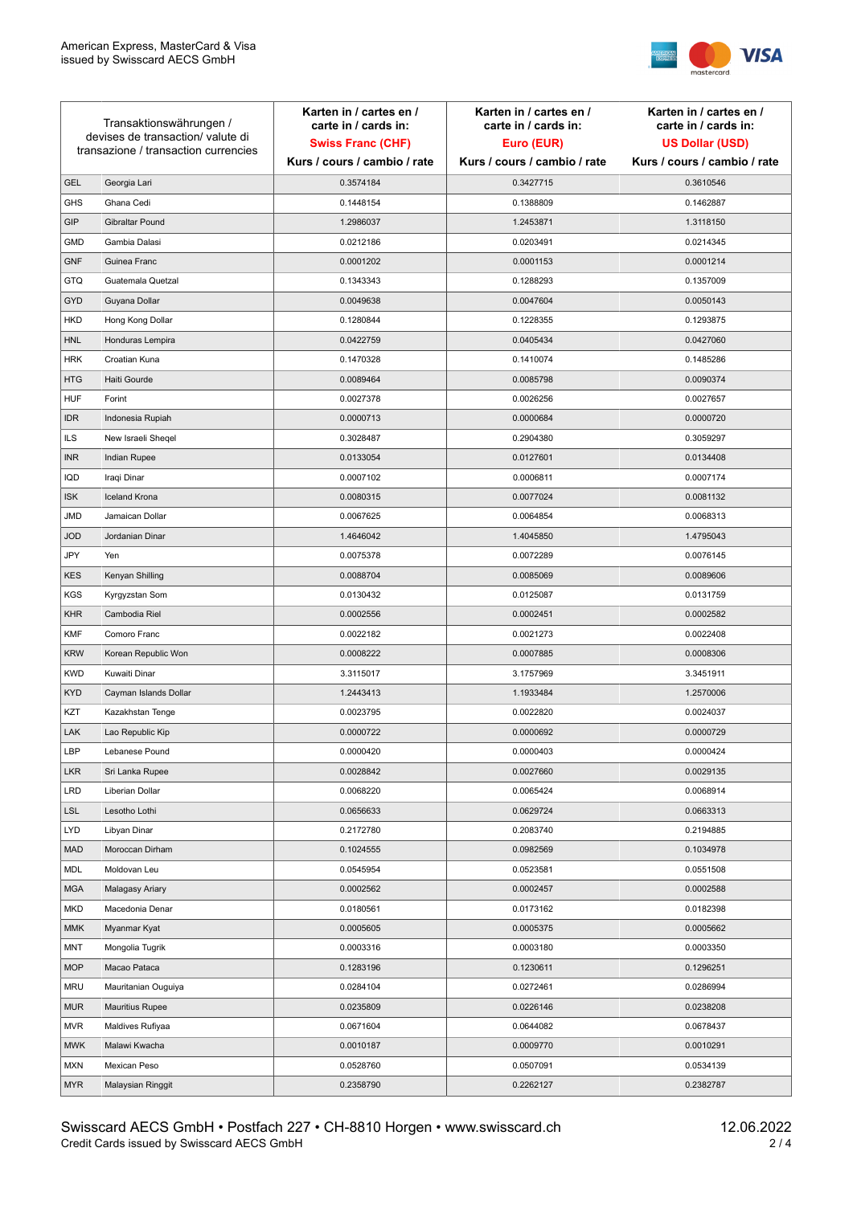

| Transaktionswährungen /              |                        | Karten in / cartes en /<br>carte in / cards in: | Karten in / cartes en /<br>carte in / cards in: | Karten in / cartes en /<br>carte in / cards in: |
|--------------------------------------|------------------------|-------------------------------------------------|-------------------------------------------------|-------------------------------------------------|
| devises de transaction/valute di     |                        | <b>Swiss Franc (CHF)</b>                        | Euro (EUR)                                      | <b>US Dollar (USD)</b>                          |
| transazione / transaction currencies |                        | Kurs / cours / cambio / rate                    | Kurs / cours / cambio / rate                    | Kurs / cours / cambio / rate                    |
| <b>GEL</b>                           | Georgia Lari           | 0.3574184                                       | 0.3427715                                       | 0.3610546                                       |
| <b>GHS</b>                           | Ghana Cedi             | 0.1448154                                       | 0.1388809                                       | 0.1462887                                       |
| GIP                                  | Gibraltar Pound        | 1.2986037                                       | 1.2453871                                       | 1.3118150                                       |
| <b>GMD</b>                           | Gambia Dalasi          | 0.0212186                                       | 0.0203491                                       | 0.0214345                                       |
| <b>GNF</b>                           | Guinea Franc           | 0.0001202                                       | 0.0001153                                       | 0.0001214                                       |
| <b>GTQ</b>                           | Guatemala Quetzal      | 0.1343343                                       | 0.1288293                                       | 0.1357009                                       |
| GYD                                  | Guyana Dollar          | 0.0049638                                       | 0.0047604                                       | 0.0050143                                       |
| <b>HKD</b>                           | Hong Kong Dollar       | 0.1280844                                       | 0.1228355                                       | 0.1293875                                       |
| <b>HNL</b>                           | Honduras Lempira       | 0.0422759                                       | 0.0405434                                       | 0.0427060                                       |
| <b>HRK</b>                           | Croatian Kuna          | 0.1470328                                       | 0.1410074                                       | 0.1485286                                       |
| <b>HTG</b>                           | Haiti Gourde           | 0.0089464                                       | 0.0085798                                       | 0.0090374                                       |
| <b>HUF</b>                           | Forint                 | 0.0027378                                       | 0.0026256                                       | 0.0027657                                       |
| <b>IDR</b>                           | Indonesia Rupiah       | 0.0000713                                       | 0.0000684                                       | 0.0000720                                       |
| <b>ILS</b>                           | New Israeli Sheqel     | 0.3028487                                       | 0.2904380                                       | 0.3059297                                       |
| <b>INR</b>                           | Indian Rupee           | 0.0133054                                       | 0.0127601                                       | 0.0134408                                       |
| <b>IQD</b>                           | Iraqi Dinar            | 0.0007102                                       | 0.0006811                                       | 0.0007174                                       |
| <b>ISK</b>                           | <b>Iceland Krona</b>   | 0.0080315                                       | 0.0077024                                       | 0.0081132                                       |
| <b>JMD</b>                           | Jamaican Dollar        | 0.0067625                                       | 0.0064854                                       | 0.0068313                                       |
| <b>JOD</b>                           | Jordanian Dinar        | 1.4646042                                       | 1.4045850                                       | 1.4795043                                       |
| JPY                                  | Yen                    | 0.0075378                                       | 0.0072289                                       | 0.0076145                                       |
| <b>KES</b>                           | Kenyan Shilling        | 0.0088704                                       | 0.0085069                                       | 0.0089606                                       |
| <b>KGS</b>                           | Kyrgyzstan Som         | 0.0130432                                       | 0.0125087                                       | 0.0131759                                       |
| <b>KHR</b>                           | Cambodia Riel          | 0.0002556                                       | 0.0002451                                       | 0.0002582                                       |
| <b>KMF</b>                           | Comoro Franc           | 0.0022182                                       | 0.0021273                                       | 0.0022408                                       |
| <b>KRW</b>                           | Korean Republic Won    | 0.0008222                                       | 0.0007885                                       | 0.0008306                                       |
| <b>KWD</b>                           | Kuwaiti Dinar          | 3.3115017                                       | 3.1757969                                       | 3.3451911                                       |
| <b>KYD</b>                           | Cayman Islands Dollar  | 1.2443413                                       | 1.1933484                                       | 1.2570006                                       |
| KZT                                  | Kazakhstan Tenge       | 0.0023795                                       | 0.0022820                                       | 0.0024037                                       |
| LAK                                  | Lao Republic Kip       | 0.0000722                                       | 0.0000692                                       | 0.0000729                                       |
| LBP                                  | Lebanese Pound         | 0.0000420                                       | 0.0000403                                       | 0.0000424                                       |
| <b>LKR</b>                           | Sri Lanka Rupee        | 0.0028842                                       | 0.0027660                                       | 0.0029135                                       |
| <b>LRD</b>                           | Liberian Dollar        | 0.0068220                                       | 0.0065424                                       | 0.0068914                                       |
| <b>LSL</b>                           | Lesotho Lothi          | 0.0656633                                       | 0.0629724                                       | 0.0663313                                       |
| <b>LYD</b>                           | Libyan Dinar           | 0.2172780                                       | 0.2083740                                       | 0.2194885                                       |
| <b>MAD</b>                           | Moroccan Dirham        | 0.1024555                                       | 0.0982569                                       | 0.1034978                                       |
| MDL                                  | Moldovan Leu           | 0.0545954                                       | 0.0523581                                       | 0.0551508                                       |
| <b>MGA</b>                           | Malagasy Ariary        | 0.0002562                                       | 0.0002457                                       | 0.0002588                                       |
| <b>MKD</b>                           | Macedonia Denar        | 0.0180561                                       | 0.0173162                                       | 0.0182398                                       |
| <b>MMK</b>                           | Myanmar Kyat           | 0.0005605                                       | 0.0005375                                       | 0.0005662                                       |
| MNT                                  | Mongolia Tugrik        | 0.0003316                                       | 0.0003180                                       | 0.0003350                                       |
| <b>MOP</b>                           | Macao Pataca           | 0.1283196                                       | 0.1230611                                       | 0.1296251                                       |
| <b>MRU</b>                           | Mauritanian Ouguiya    | 0.0284104                                       | 0.0272461                                       | 0.0286994                                       |
| <b>MUR</b>                           | <b>Mauritius Rupee</b> | 0.0235809                                       | 0.0226146                                       | 0.0238208                                       |
| <b>MVR</b>                           | Maldives Rufiyaa       | 0.0671604                                       | 0.0644082                                       | 0.0678437                                       |
| <b>MWK</b>                           | Malawi Kwacha          | 0.0010187                                       | 0.0009770                                       | 0.0010291                                       |
| <b>MXN</b>                           | Mexican Peso           | 0.0528760                                       | 0.0507091                                       | 0.0534139                                       |
| <b>MYR</b>                           | Malaysian Ringgit      | 0.2358790                                       | 0.2262127                                       | 0.2382787                                       |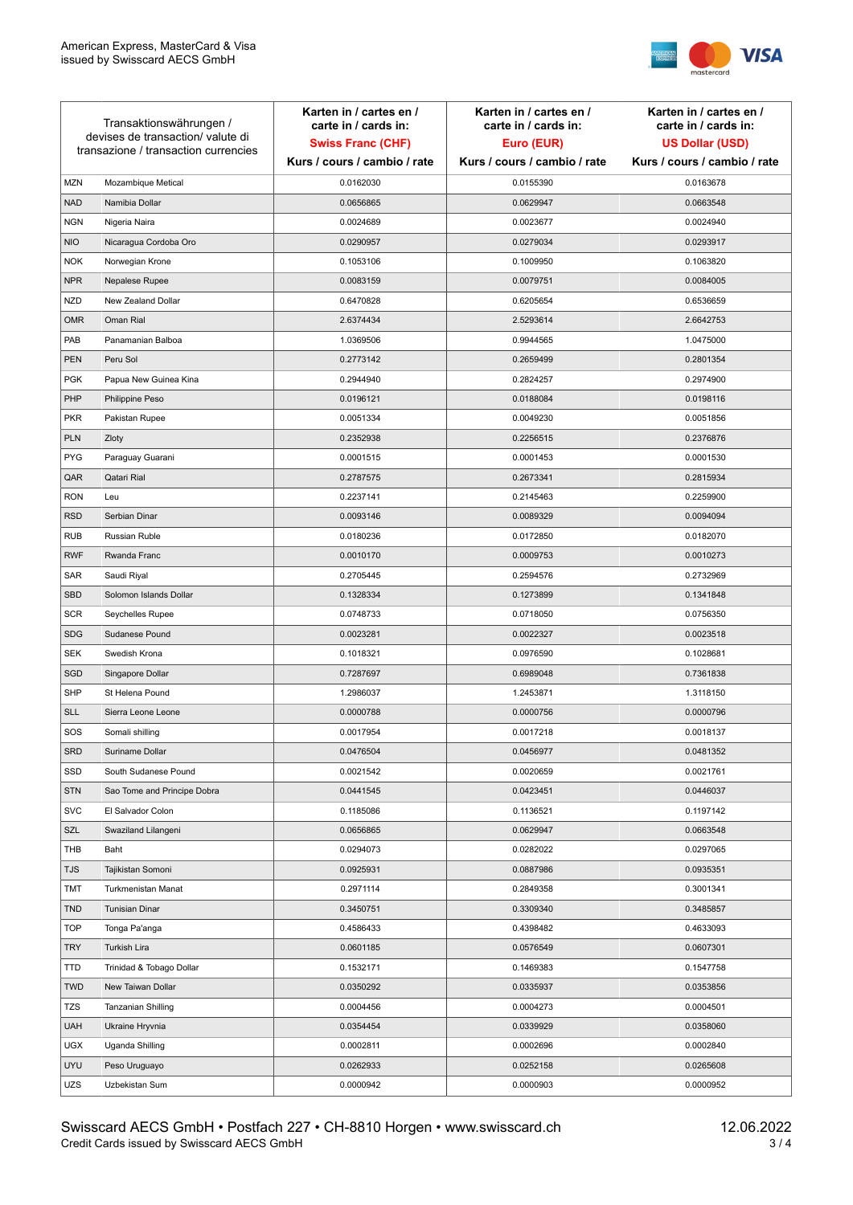

| Transaktionswährungen /<br>devises de transaction/valute di<br>transazione / transaction currencies |                             | Karten in / cartes en /<br>carte in / cards in:<br><b>Swiss Franc (CHF)</b> | Karten in / cartes en /<br>carte in / cards in:<br>Euro (EUR) | Karten in / cartes en /<br>carte in / cards in:<br><b>US Dollar (USD)</b> |
|-----------------------------------------------------------------------------------------------------|-----------------------------|-----------------------------------------------------------------------------|---------------------------------------------------------------|---------------------------------------------------------------------------|
|                                                                                                     |                             | Kurs / cours / cambio / rate                                                | Kurs / cours / cambio / rate                                  | Kurs / cours / cambio / rate                                              |
| <b>MZN</b>                                                                                          | Mozambique Metical          | 0.0162030                                                                   | 0.0155390                                                     | 0.0163678                                                                 |
| <b>NAD</b>                                                                                          | Namibia Dollar              | 0.0656865                                                                   | 0.0629947                                                     | 0.0663548                                                                 |
| <b>NGN</b>                                                                                          | Nigeria Naira               | 0.0024689                                                                   | 0.0023677                                                     | 0.0024940                                                                 |
| <b>NIO</b>                                                                                          | Nicaragua Cordoba Oro       | 0.0290957                                                                   | 0.0279034                                                     | 0.0293917                                                                 |
| <b>NOK</b>                                                                                          | Norwegian Krone             | 0.1053106                                                                   | 0.1009950                                                     | 0.1063820                                                                 |
| <b>NPR</b>                                                                                          | Nepalese Rupee              | 0.0083159                                                                   | 0.0079751                                                     | 0.0084005                                                                 |
| <b>NZD</b>                                                                                          | New Zealand Dollar          | 0.6470828                                                                   | 0.6205654                                                     | 0.6536659                                                                 |
| <b>OMR</b>                                                                                          | Oman Rial                   | 2.6374434                                                                   | 2.5293614                                                     | 2.6642753                                                                 |
| PAB                                                                                                 | Panamanian Balboa           | 1.0369506                                                                   | 0.9944565                                                     | 1.0475000                                                                 |
| <b>PEN</b>                                                                                          | Peru Sol                    | 0.2773142                                                                   | 0.2659499                                                     | 0.2801354                                                                 |
| <b>PGK</b>                                                                                          | Papua New Guinea Kina       | 0.2944940                                                                   | 0.2824257                                                     | 0.2974900                                                                 |
| PHP                                                                                                 | Philippine Peso             | 0.0196121                                                                   | 0.0188084                                                     | 0.0198116                                                                 |
| <b>PKR</b>                                                                                          | Pakistan Rupee              | 0.0051334                                                                   | 0.0049230                                                     | 0.0051856                                                                 |
| <b>PLN</b>                                                                                          | Zloty                       | 0.2352938                                                                   | 0.2256515                                                     | 0.2376876                                                                 |
| <b>PYG</b>                                                                                          | Paraguay Guarani            | 0.0001515                                                                   | 0.0001453                                                     | 0.0001530                                                                 |
| QAR                                                                                                 | Qatari Rial                 | 0.2787575                                                                   | 0.2673341                                                     | 0.2815934                                                                 |
| <b>RON</b>                                                                                          | Leu                         | 0.2237141                                                                   | 0.2145463                                                     | 0.2259900                                                                 |
| <b>RSD</b>                                                                                          | Serbian Dinar               | 0.0093146                                                                   | 0.0089329                                                     | 0.0094094                                                                 |
| <b>RUB</b>                                                                                          | Russian Ruble               | 0.0180236                                                                   | 0.0172850                                                     | 0.0182070                                                                 |
| <b>RWF</b>                                                                                          | Rwanda Franc                | 0.0010170                                                                   | 0.0009753                                                     | 0.0010273                                                                 |
| SAR                                                                                                 | Saudi Riyal                 | 0.2705445                                                                   | 0.2594576                                                     | 0.2732969                                                                 |
| SBD                                                                                                 | Solomon Islands Dollar      | 0.1328334                                                                   | 0.1273899                                                     | 0.1341848                                                                 |
| <b>SCR</b>                                                                                          | Seychelles Rupee            | 0.0748733                                                                   | 0.0718050                                                     | 0.0756350                                                                 |
| <b>SDG</b>                                                                                          | Sudanese Pound              | 0.0023281                                                                   | 0.0022327                                                     | 0.0023518                                                                 |
| <b>SEK</b>                                                                                          | Swedish Krona               | 0.1018321                                                                   | 0.0976590                                                     | 0.1028681                                                                 |
| SGD                                                                                                 | Singapore Dollar            | 0.7287697                                                                   | 0.6989048                                                     | 0.7361838                                                                 |
| <b>SHP</b>                                                                                          | St Helena Pound             | 1.2986037                                                                   | 1.2453871                                                     | 1.3118150                                                                 |
| <b>SLL</b>                                                                                          | Sierra Leone Leone          | 0.0000788                                                                   | 0.0000756                                                     | 0.0000796                                                                 |
| SOS                                                                                                 | Somali shilling             | 0.0017954                                                                   | 0.0017218                                                     | 0.0018137                                                                 |
| SRD                                                                                                 | Suriname Dollar             | 0.0476504                                                                   | 0.0456977                                                     | 0.0481352                                                                 |
| SSD                                                                                                 | South Sudanese Pound        | 0.0021542                                                                   | 0.0020659                                                     | 0.0021761                                                                 |
| <b>STN</b>                                                                                          | Sao Tome and Principe Dobra | 0.0441545                                                                   | 0.0423451                                                     | 0.0446037                                                                 |
| <b>SVC</b>                                                                                          | El Salvador Colon           | 0.1185086                                                                   | 0.1136521                                                     | 0.1197142                                                                 |
| SZL                                                                                                 | Swaziland Lilangeni         | 0.0656865                                                                   | 0.0629947                                                     | 0.0663548                                                                 |
| THB                                                                                                 | Baht                        | 0.0294073                                                                   | 0.0282022                                                     | 0.0297065                                                                 |
| TJS                                                                                                 | Tajikistan Somoni           | 0.0925931                                                                   | 0.0887986                                                     | 0.0935351                                                                 |
| <b>TMT</b>                                                                                          | Turkmenistan Manat          | 0.2971114                                                                   | 0.2849358                                                     | 0.3001341                                                                 |
| <b>TND</b>                                                                                          | <b>Tunisian Dinar</b>       | 0.3450751                                                                   | 0.3309340                                                     | 0.3485857                                                                 |
| <b>TOP</b>                                                                                          | Tonga Pa'anga               | 0.4586433                                                                   | 0.4398482                                                     | 0.4633093                                                                 |
| <b>TRY</b>                                                                                          | Turkish Lira                | 0.0601185                                                                   | 0.0576549                                                     | 0.0607301                                                                 |
| TTD                                                                                                 | Trinidad & Tobago Dollar    | 0.1532171                                                                   | 0.1469383                                                     | 0.1547758                                                                 |
| <b>TWD</b>                                                                                          | New Taiwan Dollar           | 0.0350292                                                                   | 0.0335937                                                     | 0.0353856                                                                 |
| <b>TZS</b>                                                                                          | Tanzanian Shilling          | 0.0004456                                                                   | 0.0004273                                                     | 0.0004501                                                                 |
| <b>UAH</b>                                                                                          | Ukraine Hryvnia             | 0.0354454                                                                   | 0.0339929                                                     | 0.0358060                                                                 |
| <b>UGX</b>                                                                                          | Uganda Shilling             | 0.0002811                                                                   | 0.0002696                                                     | 0.0002840                                                                 |
| <b>UYU</b>                                                                                          | Peso Uruguayo               | 0.0262933                                                                   | 0.0252158                                                     | 0.0265608                                                                 |
| UZS                                                                                                 | Uzbekistan Sum              | 0.0000942                                                                   | 0.0000903                                                     | 0.0000952                                                                 |